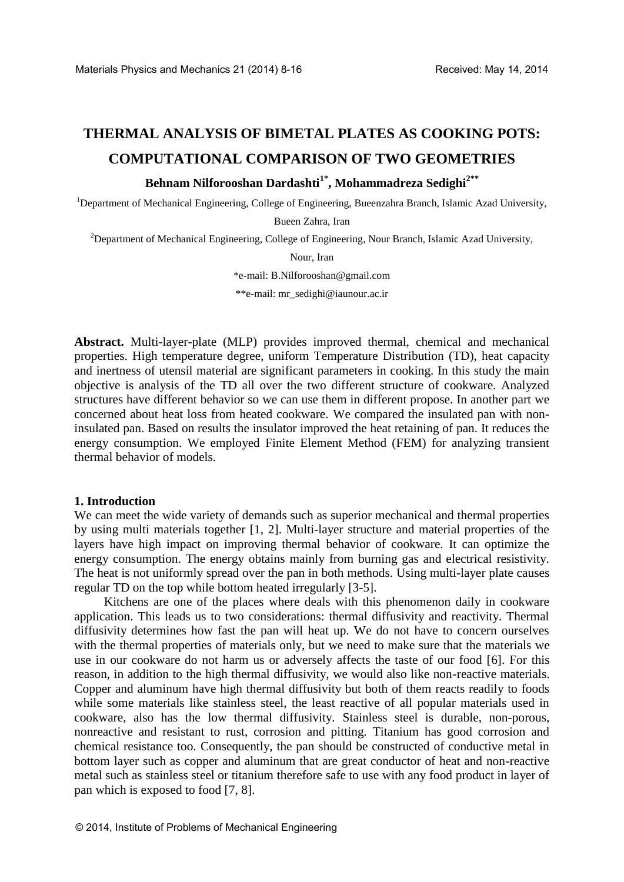# **THERMAL ANALYSIS OF BIMETAL PLATES AS COOKING POTS: COMPUTATIONAL COMPARISON OF TWO GEOMETRIES**

# **Behnam Nilforooshan Dardashti1\* , Mohammadreza Sedighi2\*\***

<sup>1</sup>Department of Mechanical Engineering, College of Engineering, Bueenzahra Branch, Islamic Azad University,

Bueen Zahra, Iran

<sup>2</sup>Department of Mechanical Engineering, College of Engineering, Nour Branch, Islamic Azad University,

Nour, Iran

\*e-mail[: B.Nilforooshan@gmail.com](mailto:B.Nilforooshan@gmail.com)

\*\*e-mail: mr\_sedighi@iaunour.ac.ir

**Abstract.** Multi-layer-plate (MLP) provides improved thermal, chemical and mechanical properties. High temperature degree, uniform Temperature Distribution (TD), heat capacity and inertness of utensil material are significant parameters in cooking. In this study the main objective is analysis of the TD all over the two different structure of cookware. Analyzed structures have different behavior so we can use them in different propose. In another part we concerned about heat loss from heated cookware. We compared the insulated pan with noninsulated pan. Based on results the insulator improved the heat retaining of pan. It reduces the energy consumption. We employed Finite Element Method (FEM) for analyzing transient thermal behavior of models.

### **1. Introduction**

We can meet the wide variety of demands such as superior mechanical and thermal properties by using multi materials together [1, 2]. Multi-layer structure and material properties of the layers have high impact on improving thermal behavior of cookware. It can optimize the energy consumption. The energy obtains mainly from burning gas and electrical resistivity. The heat is not uniformly spread over the pan in both methods. Using multi-layer plate causes regular TD on the top while bottom heated irregularly [3-5].

Kitchens are one of the places where deals with this phenomenon daily in cookware application. This leads us to two considerations: thermal diffusivity and reactivity. Thermal diffusivity determines how fast the pan will heat up. We do not have to concern ourselves with the thermal properties of materials only, but we need to make sure that the materials we use in our cookware do not harm us or adversely affects the taste of our food [6]. For this reason, in addition to the high thermal diffusivity, we would also like non-reactive materials. Copper and aluminum have high thermal diffusivity but both of them reacts readily to foods while some materials like stainless steel, the least reactive of all popular materials used in cookware, also has the low thermal diffusivity. Stainless steel is durable, non-porous, nonreactive and resistant to rust, corrosion and pitting. Titanium has good corrosion and chemical resistance too. Consequently, the pan should be constructed of conductive metal in bottom layer such as copper and aluminum that are great conductor of heat and non-reactive metal such as stainless steel or titanium therefore safe to use with any food product in layer of pan which is exposed to food [7, 8].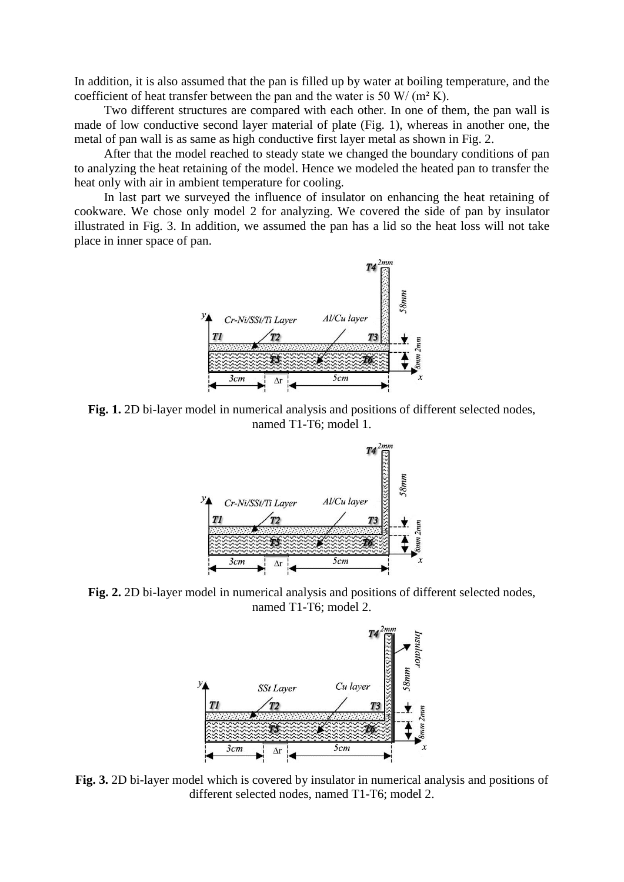In addition, it is also assumed that the pan is filled up by water at boiling temperature, and the coefficient of heat transfer between the pan and the water is 50 W/ ( $m<sup>2</sup>$  K).

Two different structures are compared with each other. In one of them, the pan wall is made of low conductive second layer material of plate (Fig. 1), whereas in another one, the metal of pan wall is as same as high conductive first layer metal as shown in Fig. 2.

After that the model reached to steady state we changed the boundary conditions of pan to analyzing the heat retaining of the model. Hence we modeled the heated pan to transfer the heat only with air in ambient temperature for cooling.

In last part we surveyed the influence of insulator on enhancing the heat retaining of cookware. We chose only model 2 for analyzing. We covered the side of pan by insulator illustrated in Fig. 3. In addition, we assumed the pan has a lid so the heat loss will not take place in inner space of pan.



**Fig. 1.** 2D bi-layer model in numerical analysis and positions of different selected nodes, named T1-T6; model 1.



**Fig. 2.** 2D bi-layer model in numerical analysis and positions of different selected nodes, named T1-T6; model 2.



**Fig. 3.** 2D bi-layer model which is covered by insulator in numerical analysis and positions of different selected nodes, named T1-T6; model 2.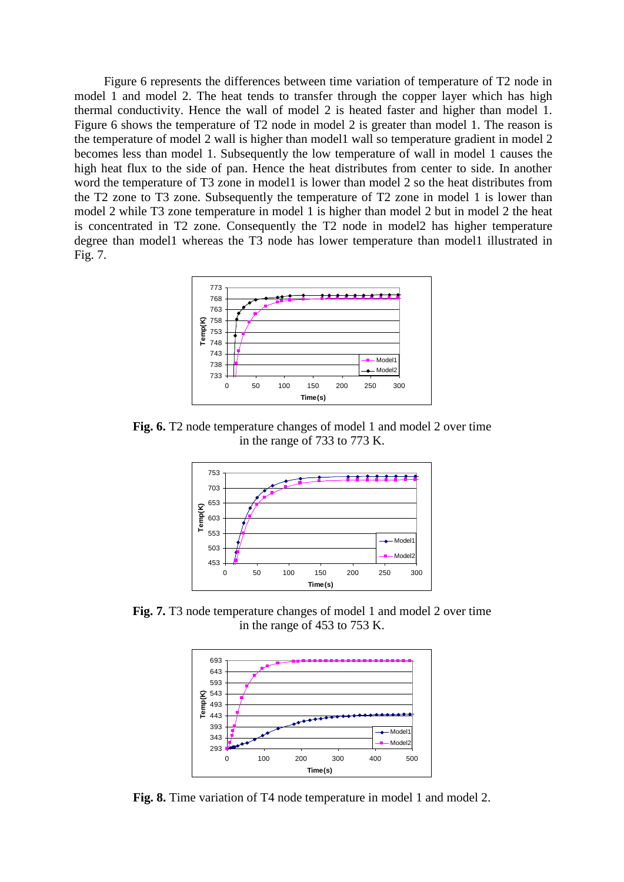Figure 6 represents the differences between time variation of temperature of T2 node in model 1 and model 2. The heat tends to transfer through the copper layer which has high thermal conductivity. Hence the wall of model 2 is heated faster and higher than model 1. Figure 6 shows the temperature of T2 node in model 2 is greater than model 1. The reason is the temperature of model 2 wall is higher than model1 wall so temperature gradient in model 2 becomes less than model 1. Subsequently the low temperature of wall in model 1 causes the high heat flux to the side of pan. Hence the heat distributes from center to side. In another word the temperature of T3 zone in model 1 is lower than model 2 so the heat distributes from the T2 zone to T3 zone. Subsequently the temperature of T2 zone in model 1 is lower than model 2 while T3 zone temperature in model 1 is higher than model 2 but in model 2 the heat is concentrated in T2 zone. Consequently the T2 node in model2 has higher temperature degree than model1 whereas the T3 node has lower temperature than model1 illustrated in Fig. 7.



**Fig. 6.** T2 node temperature changes of model 1 and model 2 over time in the range of 733 to 773 K.



Fig. 7. T3 node temperature changes of model 1 and model 2 over time in the range of 453 to 753 K.



Fig. 8. Time variation of T4 node temperature in model 1 and model 2.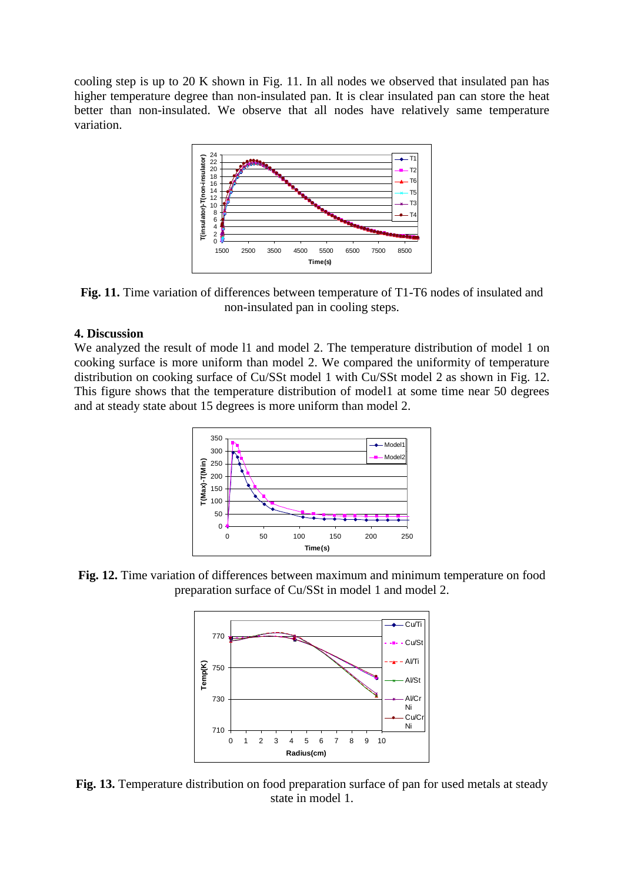cooling step is up to 20 K shown in Fig. 11. In all nodes we observed that insulated pan has higher temperature degree than non-insulated pan. It is clear insulated pan can store the heat better than non-insulated. We observe that all nodes have relatively same temperature variation.



**Fig. 11.** Time variation of differences between temperature of T1-T6 nodes of insulated and non-insulated pan in cooling steps.

## **4. Discussion**

We analyzed the result of mode l1 and model 2. The temperature distribution of model 1 on cooking surface is more uniform than model 2. We compared the uniformity of temperature distribution on cooking surface of Cu/SSt model 1 with Cu/SSt model 2 as shown in Fig. 12. This figure shows that the temperature distribution of model1 at some time near 50 degrees and at steady state about 15 degrees is more uniform than model 2.



**Fig. 12.** Time variation of differences between maximum and minimum temperature on food preparation surface of Cu/SSt in model 1 and model 2.



**Fig. 13.** Temperature distribution on food preparation surface of pan for used metals at steady state in model 1.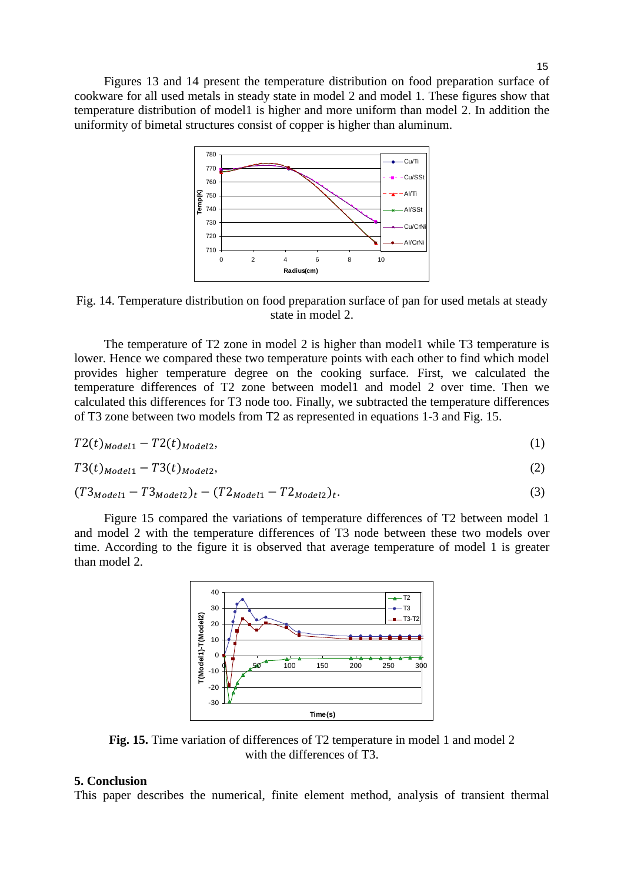

Fig. 14. Temperature distribution on food preparation surface of pan for used metals at steady state in model 2.

The temperature of T2 zone in model 2 is higher than model1 while T3 temperature is lower. Hence we compared these two temperature points with each other to find which model provides higher temperature degree on the cooking surface. First, we calculated the temperature differences of T2 zone between model1 and model 2 over time. Then we calculated this differences for T3 node too. Finally, we subtracted the temperature differences of T3 zone between two models from T2 as represented in equations 1-3 and Fig. 15.

$$
T2(t)_{Model1} - T2(t)_{Model2},\tag{1}
$$

$$
T3(t)_{\text{Model1}} - T3(t)_{\text{Model2}},\tag{2}
$$

$$
(T3_{Model1} - T3_{Model2})_t - (T2_{Model1} - T2_{Model2})_t. \tag{3}
$$

Figure 15 compared the variations of temperature differences of T2 between model 1 and model 2 with the temperature differences of T3 node between these two models over time. According to the figure it is observed that average temperature of model 1 is greater than model 2.



**Fig. 15.** Time variation of differences of T2 temperature in model 1 and model 2 with the differences of T3.

#### **5. Conclusion**

This paper describes the numerical, finite element method, analysis of transient thermal